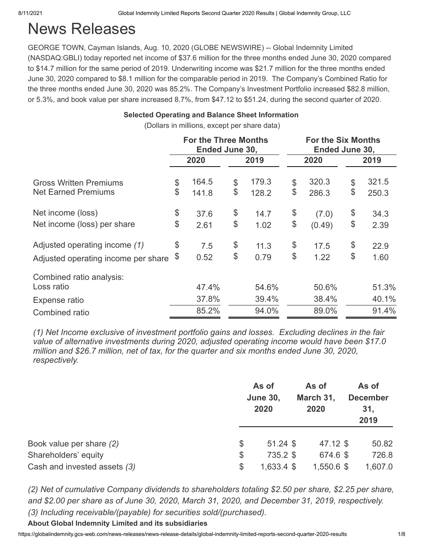# News Releases

GEORGE TOWN, Cayman Islands, Aug. 10, 2020 (GLOBE NEWSWIRE) -- Global Indemnity Limited (NASDAQ:GBLI) today reported net income of \$37.6 million for the three months ended June 30, 2020 compared to \$14.7 million for the same period of 2019. Underwriting income was \$21.7 million for the three months ended June 30, 2020 compared to \$8.1 million for the comparable period in 2019. The Company's Combined Ratio for the three months ended June 30, 2020 was 85.2%. The Company's Investment Portfolio increased \$82.8 million, or 5.3%, and book value per share increased 8.7%, from \$47.12 to \$51.24, during the second quarter of 2020.

### **Selected Operating and Balance Sheet Information**

(Dollars in millions, except per share data)

|                                     |    | <b>For the Three Months</b><br>Ended June 30, |             |              | <b>For the Six Months</b><br>Ended June 30, |       |  |
|-------------------------------------|----|-----------------------------------------------|-------------|--------------|---------------------------------------------|-------|--|
|                                     |    | 2020                                          | 2019        | 2020         |                                             | 2019  |  |
| <b>Gross Written Premiums</b>       | \$ | 164.5                                         | \$<br>179.3 | \$<br>320.3  | \$                                          | 321.5 |  |
| <b>Net Earned Premiums</b>          | \$ | 141.8                                         | \$<br>128.2 | \$<br>286.3  | \$                                          | 250.3 |  |
| Net income (loss)                   | \$ | 37.6                                          | \$<br>14.7  | \$<br>(7.0)  | \$                                          | 34.3  |  |
| Net income (loss) per share         | \$ | 2.61                                          | \$<br>1.02  | \$<br>(0.49) | \$                                          | 2.39  |  |
| Adjusted operating income (1)       | \$ | 7.5                                           | \$<br>11.3  | \$<br>17.5   | \$                                          | 22.9  |  |
| Adjusted operating income per share | \$ | 0.52                                          | \$<br>0.79  | \$<br>1.22   | \$                                          | 1.60  |  |
| Combined ratio analysis:            |    |                                               |             |              |                                             |       |  |
| Loss ratio                          |    | 47.4%                                         | 54.6%       | 50.6%        |                                             | 51.3% |  |
| Expense ratio                       |    | 37.8%                                         | 39.4%       | 38.4%        |                                             | 40.1% |  |
| Combined ratio                      |    | 85.2%                                         | 94.0%       | 89.0%        |                                             | 91.4% |  |

*(1) Net Income exclusive of investment portfolio gains and losses. Excluding declines in the fair value of alternative investments during 2020, adjusted operating income would have been \$17.0 million and \$26.7 million, net of tax, for the quarter and six months ended June 30, 2020, respectively.*

| As of<br>2020 | As of<br>March 31,<br>2020 | As of<br><b>December</b><br>31,<br>2019                                      |
|---------------|----------------------------|------------------------------------------------------------------------------|
| \$            |                            | 50.82                                                                        |
| \$            |                            | 726.8                                                                        |
| \$            |                            | 1,607.0                                                                      |
|               | <b>June 30,</b>            | $47.12$ \$<br>$51.24$ \$<br>735.2 \$<br>674.6 \$<br>1,550.6 \$<br>1,633.4 \$ |

*(2) Net of cumulative Company dividends to shareholders totaling \$2.50 per share, \$2.25 per share, and \$2.00 per share as of June 30, 2020, March 31, 2020, and December 31, 2019, respectively. (3) Including receivable/(payable) for securities sold/(purchased).*

**About Global Indemnity Limited and its subsidiaries**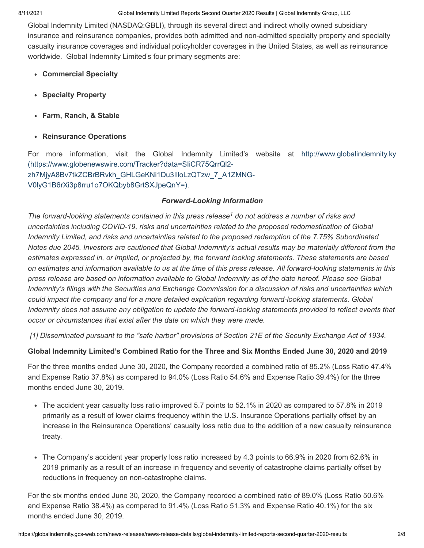Global Indemnity Limited (NASDAQ:GBLI), through its several direct and indirect wholly owned subsidiary insurance and reinsurance companies, provides both admitted and non-admitted specialty property and specialty casualty insurance coverages and individual policyholder coverages in the United States, as well as reinsurance worldwide. Global Indemnity Limited's four primary segments are:

- **Commercial Specialty**
- **Specialty Property**
- **Farm, Ranch, & Stable**
- **Reinsurance Operations**

For more information, visit the [Global Indemnity Limited's website at http://www.globalindemnity.ky](https://www.globenewswire.com/Tracker?data=SIiCR75QrrQl2-zh7MjyA8Bv7tkZCBrBRvkh_GHLGeKNi1Du3IlloLzQTzw_7_A1ZMNG-V0lyG1B6rXi3p8rru1o7OKQbyb8GrtSXJpeQnY=) (https://www.globenewswire.com/Tracker?data=SIiCR75QrrQl2 zh7MjyA8Bv7tkZCBrBRvkh\_GHLGeKNi1Du3IlloLzQTzw\_7\_A1ZMNG-V0lyG1B6rXi3p8rru1o7OKQbyb8GrtSXJpeQnY=).

### *Forward-Looking Information*

The forward-looking statements contained in this press release<sup>1</sup> do not address a number of risks and *uncertainties including COVID-19, risks and uncertainties related to the proposed redomestication of Global Indemnity Limited, and risks and uncertainties related to the proposed redemption of the 7.75% Subordinated Notes due 2045. Investors are cautioned that Global Indemnity's actual results may be materially different from the estimates expressed in, or implied, or projected by, the forward looking statements. These statements are based on estimates and information available to us at the time of this press release. All forward-looking statements in this press release are based on information available to Global Indemnity as of the date hereof. Please see Global Indemnity's filings with the Securities and Exchange Commission for a discussion of risks and uncertainties which could impact the company and for a more detailed explication regarding forward-looking statements. Global Indemnity does not assume any obligation to update the forward-looking statements provided to reflect events that occur or circumstances that exist after the date on which they were made.* 

*[1] Disseminated pursuant to the "safe harbor" provisions of Section 21E of the Security Exchange Act of 1934.*

### **Global Indemnity Limited's Combined Ratio for the Three and Six Months Ended June 30, 2020 and 2019**

For the three months ended June 30, 2020, the Company recorded a combined ratio of 85.2% (Loss Ratio 47.4% and Expense Ratio 37.8%) as compared to 94.0% (Loss Ratio 54.6% and Expense Ratio 39.4%) for the three months ended June 30, 2019.

- The accident year casualty loss ratio improved 5.7 points to 52.1% in 2020 as compared to 57.8% in 2019 primarily as a result of lower claims frequency within the U.S. Insurance Operations partially offset by an increase in the Reinsurance Operations' casualty loss ratio due to the addition of a new casualty reinsurance treaty.
- The Company's accident year property loss ratio increased by 4.3 points to 66.9% in 2020 from 62.6% in 2019 primarily as a result of an increase in frequency and severity of catastrophe claims partially offset by reductions in frequency on non-catastrophe claims.

For the six months ended June 30, 2020, the Company recorded a combined ratio of 89.0% (Loss Ratio 50.6% and Expense Ratio 38.4%) as compared to 91.4% (Loss Ratio 51.3% and Expense Ratio 40.1%) for the six months ended June 30, 2019.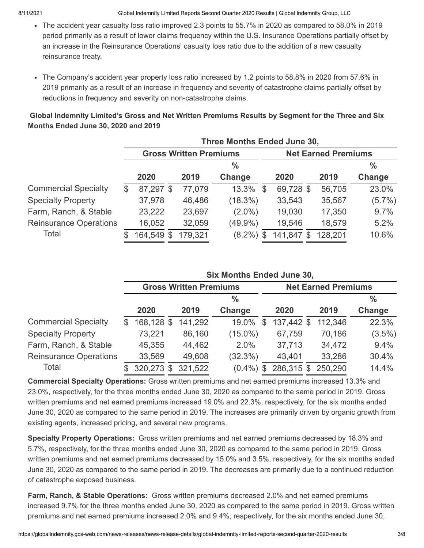- The accident year casualty loss ratio improved 2.3 points to 55.7% in 2020 as compared to 58.0% in 2019 period primarily as a result of lower claims frequency within the U.S. Insurance Operations partially offset by an increase in the Reinsurance Operations' casualty loss ratio due to the addition of a new casualty reinsurance treaty.
- The Company's accident year property loss ratio increased by 1.2 points to 58.8% in 2020 from 57.6% in 2019 primarily as a result of an increase in frequency and severity of catastrophe claims partially offset by reductions in frequency and severity on non-catastrophe claims.

|                               |                 |                               |         | Three Months Ended June 30, |    |           |                            |               |
|-------------------------------|-----------------|-------------------------------|---------|-----------------------------|----|-----------|----------------------------|---------------|
|                               |                 | <b>Gross Written Premiums</b> |         |                             |    |           | <b>Net Earned Premiums</b> |               |
|                               |                 |                               |         | $\frac{9}{6}$               |    |           |                            | $\frac{0}{0}$ |
|                               | 2020            |                               | 2019    | Change                      |    | 2020      | 2019                       | Change        |
| <b>Commercial Specialty</b>   | \$<br>87,297 \$ |                               | 77,079  | 13.3%                       | \$ | 69,728 \$ | 56,705                     | 23.0%         |
| <b>Specialty Property</b>     | 37,978          |                               | 46,486  | $(18.3\%)$                  |    | 33,543    | 35,567                     | $(5.7\%)$     |
| Farm, Ranch, & Stable         | 23,222          |                               | 23,697  | $(2.0\%)$                   |    | 19,030    | 17,350                     | 9.7%          |
| <b>Reinsurance Operations</b> | 16,052          |                               | 32,059  | $(49.9\%)$                  |    | 19,546    | 18,579                     | 5.2%          |
| Total                         | 164,549         | \$                            | 179,321 | $(8.2\%)$                   | S  | 141,847   | \$<br>128,201              | 10.6%         |

## **Global Indemnity Limited's Gross and Net Written Premiums Results by Segment for the Three and Six Months Ended June 30, 2020 and 2019**

|                               |                |            |                               |         | <b>Six Months Ended June 30,</b> |    |            |                            |               |  |  |  |
|-------------------------------|----------------|------------|-------------------------------|---------|----------------------------------|----|------------|----------------------------|---------------|--|--|--|
|                               |                |            | <b>Gross Written Premiums</b> |         |                                  |    |            | <b>Net Earned Premiums</b> |               |  |  |  |
|                               |                |            |                               |         | $\frac{0}{0}$                    |    |            |                            | $\frac{0}{0}$ |  |  |  |
|                               |                | 2020       |                               | 2019    | Change                           |    | 2020       | 2019                       | Change        |  |  |  |
| <b>Commercial Specialty</b>   | $\mathfrak{L}$ | 168,128 \$ |                               | 141,292 | 19.0%                            | \$ | 137,442 \$ | 112,346                    | 22.3%         |  |  |  |
| <b>Specialty Property</b>     |                | 73,221     |                               | 86,160  | $(15.0\%)$                       |    | 67,759     | 70,186                     | $(3.5\%)$     |  |  |  |
| Farm, Ranch, & Stable         |                | 45,355     |                               | 44,462  | 2.0%                             |    | 37,713     | 34,472                     | 9.4%          |  |  |  |
| <b>Reinsurance Operations</b> |                | 33,569     |                               | 49,608  | $(32.3\%)$                       |    | 43,401     | 33,286                     | 30.4%         |  |  |  |
| Total                         | \$.            | 320,273 \$ |                               | 321,522 | $(0.4\%)$ \$                     |    | 286,315 \$ | 250,290                    | 14.4%         |  |  |  |

**Commercial Specialty Operations:** Gross written premiums and net earned premiums increased 13.3% and 23.0%, respectively, for the three months ended June 30, 2020 as compared to the same period in 2019. Gross written premiums and net earned premiums increased 19.0% and 22.3%, respectively, for the six months ended June 30, 2020 as compared to the same period in 2019. The increases are primarily driven by organic growth from existing agents, increased pricing, and several new programs.

**Specialty Property Operations:** Gross written premiums and net earned premiums decreased by 18.3% and 5.7%, respectively, for the three months ended June 30, 2020 as compared to the same period in 2019. Gross written premiums and net earned premiums decreased by 15.0% and 3.5%, respectively, for the six months ended June 30, 2020 as compared to the same period in 2019. The decreases are primarily due to a continued reduction of catastrophe exposed business.

**Farm, Ranch, & Stable Operations:** Gross written premiums decreased 2.0% and net earned premiums increased 9.7% for the three months ended June 30, 2020 as compared to the same period in 2019. Gross written premiums and net earned premiums increased 2.0% and 9.4%, respectively, for the six months ended June 30,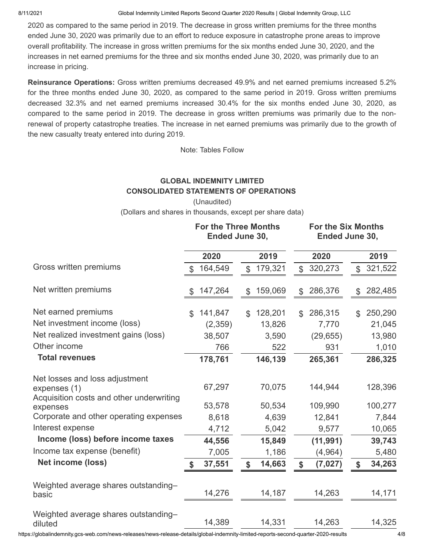2020 as compared to the same period in 2019. The decrease in gross written premiums for the three months ended June 30, 2020 was primarily due to an effort to reduce exposure in catastrophe prone areas to improve overall profitability. The increase in gross written premiums for the six months ended June 30, 2020, and the increases in net earned premiums for the three and six months ended June 30, 2020, was primarily due to an increase in pricing.

**Reinsurance Operations:** Gross written premiums decreased 49.9% and net earned premiums increased 5.2% for the three months ended June 30, 2020, as compared to the same period in 2019. Gross written premiums decreased 32.3% and net earned premiums increased 30.4% for the six months ended June 30, 2020, as compared to the same period in 2019. The decrease in gross written premiums was primarily due to the nonrenewal of property catastrophe treaties. The increase in net earned premiums was primarily due to the growth of the new casualty treaty entered into during 2019.

Note: Tables Follow

# **GLOBAL INDEMNITY LIMITED CONSOLIDATED STATEMENTS OF OPERATIONS**

(Unaudited) (Dollars and shares in thousands, except per share data)

|                                                      |                | <b>For the Three Months</b><br>Ended June 30, |                           |         | <b>For the Six Months</b><br>Ended June 30, |           |                |         |  |
|------------------------------------------------------|----------------|-----------------------------------------------|---------------------------|---------|---------------------------------------------|-----------|----------------|---------|--|
|                                                      |                | 2020                                          |                           | 2019    |                                             | 2020      |                | 2019    |  |
| Gross written premiums                               | $\mathbb{S}$   | 164,549                                       | \$                        | 179,321 | \$                                          | 320,273   | $\mathbb S$    | 321,522 |  |
| Net written premiums                                 | \$             | 147,264                                       | \$                        | 159,069 | \$                                          | 286,376   | \$             | 282,485 |  |
| Net earned premiums                                  | $\mathfrak{L}$ | 141,847                                       | \$                        | 128,201 | $\mathbb{S}$                                | 286,315   | $\mathfrak{L}$ | 250,290 |  |
| Net investment income (loss)                         |                | (2,359)                                       |                           | 13,826  |                                             | 7,770     |                | 21,045  |  |
| Net realized investment gains (loss)                 |                | 38,507                                        |                           | 3,590   |                                             | (29, 655) |                | 13,980  |  |
| Other income                                         |                | 766                                           |                           | 522     |                                             | 931       |                | 1,010   |  |
| <b>Total revenues</b>                                |                | 178,761                                       |                           | 146,139 |                                             | 265,361   |                | 286,325 |  |
| Net losses and loss adjustment<br>expenses (1)       |                | 67,297                                        |                           | 70,075  |                                             | 144,944   |                | 128,396 |  |
| Acquisition costs and other underwriting<br>expenses |                | 53,578                                        |                           | 50,534  |                                             | 109,990   |                | 100,277 |  |
| Corporate and other operating expenses               |                | 8,618                                         |                           | 4,639   |                                             | 12,841    |                | 7,844   |  |
| Interest expense                                     |                | 4,712                                         |                           | 5,042   |                                             | 9,577     |                | 10,065  |  |
| Income (loss) before income taxes                    |                | 44,556                                        |                           | 15,849  |                                             | (11, 991) |                | 39,743  |  |
| Income tax expense (benefit)                         |                | 7,005                                         |                           | 1,186   |                                             | (4, 964)  |                | 5,480   |  |
| <b>Net income (loss)</b>                             | \$             | 37,551                                        | $\boldsymbol{\mathsf{s}}$ | 14,663  | \$                                          | (7, 027)  | \$             | 34,263  |  |
| Weighted average shares outstanding-<br>basic        |                | 14,276                                        |                           | 14,187  |                                             | 14,263    |                | 14,171  |  |
| Weighted average shares outstanding-<br>diluted      |                | 14,389                                        |                           | 14,331  |                                             | 14,263    |                | 14,325  |  |

https://globalindemnity.gcs-web.com/news-releases/news-release-details/global-indemnity-limited-reports-second-quarter-2020-results 4/8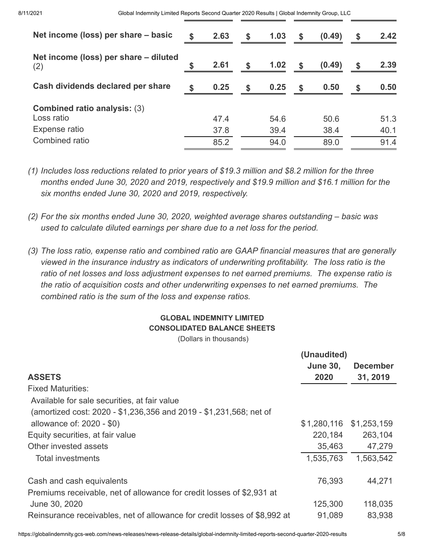| Net income (loss) per share - basic          | 2.63 | $\mathbf{s}$ | 1.03 | S. | (0.49) | \$<br>2.42 |
|----------------------------------------------|------|--------------|------|----|--------|------------|
| Net income (loss) per share – diluted<br>(2) | 2.61 | \$           | 1.02 | \$ | (0.49) | \$<br>2.39 |
| Cash dividends declared per share            | 0.25 | $\mathbf{s}$ | 0.25 | \$ | 0.50   | \$<br>0.50 |
| <b>Combined ratio analysis: (3)</b>          |      |              |      |    |        |            |
| Loss ratio                                   | 47.4 |              | 54.6 |    | 50.6   | 51.3       |
| Expense ratio                                | 37.8 |              | 39.4 |    | 38.4   | 40.1       |
| Combined ratio                               | 85.2 |              | 94.0 |    | 89.0   | 91.4       |

- *(1) Includes loss reductions related to prior years of \$19.3 million and \$8.2 million for the three months ended June 30, 2020 and 2019, respectively and \$19.9 million and \$16.1 million for the six months ended June 30, 2020 and 2019, respectively.*
- *(2) For the six months ended June 30, 2020, weighted average shares outstanding basic was used to calculate diluted earnings per share due to a net loss for the period.*
- *(3) The loss ratio, expense ratio and combined ratio are GAAP financial measures that are generally viewed in the insurance industry as indicators of underwriting profitability. The loss ratio is the ratio of net losses and loss adjustment expenses to net earned premiums. The expense ratio is the ratio of acquisition costs and other underwriting expenses to net earned premiums. The combined ratio is the sum of the loss and expense ratios.*

# **GLOBAL INDEMNITY LIMITED CONSOLIDATED BALANCE SHEETS**

(Dollars in thousands)

|                                                                           | (Unaudited)     |                 |
|---------------------------------------------------------------------------|-----------------|-----------------|
|                                                                           | <b>June 30,</b> | <b>December</b> |
| <b>ASSETS</b>                                                             | 2020            | 31, 2019        |
| <b>Fixed Maturities:</b>                                                  |                 |                 |
| Available for sale securities, at fair value                              |                 |                 |
| (amortized cost: 2020 - \$1,236,356 and 2019 - \$1,231,568; net of        |                 |                 |
| allowance of: 2020 - \$0)                                                 | \$1,280,116     | \$1,253,159     |
| Equity securities, at fair value                                          | 220,184         | 263,104         |
| Other invested assets                                                     | 35,463          | 47,279          |
| <b>Total investments</b>                                                  | 1,535,763       | 1,563,542       |
| Cash and cash equivalents                                                 | 76,393          | 44,271          |
| Premiums receivable, net of allowance for credit losses of \$2,931 at     |                 |                 |
| June 30, 2020                                                             | 125,300         | 118,035         |
| Reinsurance receivables, net of allowance for credit losses of \$8,992 at | 91,089          | 83,938          |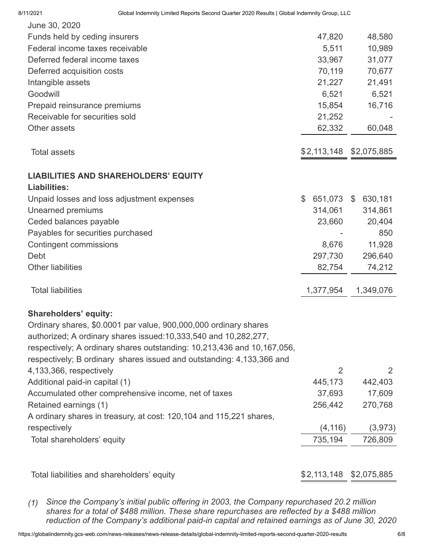| June 30, 2020                                                                       |                  |                |
|-------------------------------------------------------------------------------------|------------------|----------------|
| Funds held by ceding insurers                                                       | 47,820           | 48,580         |
| Federal income taxes receivable                                                     | 5,511            | 10,989         |
| Deferred federal income taxes                                                       | 33,967           | 31,077         |
| Deferred acquisition costs                                                          | 70,119           | 70,677         |
| Intangible assets                                                                   | 21,227           | 21,491         |
| Goodwill                                                                            | 6,521            | 6,521          |
| Prepaid reinsurance premiums                                                        | 15,854           | 16,716         |
| Receivable for securities sold                                                      | 21,252           |                |
| Other assets                                                                        | 62,332           | 60,048         |
| <b>Total assets</b>                                                                 | \$2,113,148      | \$2,075,885    |
| <b>LIABILITIES AND SHAREHOLDERS' EQUITY</b>                                         |                  |                |
| Liabilities:                                                                        |                  |                |
| Unpaid losses and loss adjustment expenses                                          | \$<br>651,073 \$ | 630,181        |
| <b>Unearned premiums</b>                                                            | 314,061          | 314,861        |
| Ceded balances payable                                                              | 23,660           | 20,404         |
| Payables for securities purchased                                                   |                  | 850            |
| <b>Contingent commissions</b>                                                       | 8,676            | 11,928         |
| Debt                                                                                | 297,730          | 296,640        |
| <b>Other liabilities</b>                                                            | 82,754           | 74,212         |
| <b>Total liabilities</b>                                                            | 1,377,954        | 1,349,076      |
| <b>Shareholders' equity:</b>                                                        |                  |                |
| Ordinary shares, \$0.0001 par value, 900,000,000 ordinary shares                    |                  |                |
| authorized; A ordinary shares issued: 10, 333, 540 and 10, 282, 277,                |                  |                |
| respectively; A ordinary shares outstanding: 10,213,436 and 10,167,056,             |                  |                |
| respectively; B ordinary shares issued and outstanding: 4,133,366 and               |                  |                |
| 4,133,366, respectively                                                             | 2                | $\overline{2}$ |
| Additional paid-in capital (1)                                                      | 445,173          | 442,403        |
| Accumulated other comprehensive income, net of taxes                                | 37,693           | 17,609         |
| Retained earnings (1)                                                               | 256,442          | 270,768        |
| A ordinary shares in treasury, at cost: 120,104 and 115,221 shares,<br>respectively | (4, 116)         | (3, 973)       |
| Total shareholders' equity                                                          | 735,194          | 726,809        |
|                                                                                     |                  |                |
| Total liabilities and shareholders' equity                                          | \$2,113,148      | \$2,075,885    |
|                                                                                     |                  |                |

*(1) Since the Company's initial public offering in 2003, the Company repurchased 20.2 million shares for a total of \$488 million. These share repurchases are reflected by a \$488 million reduction of the Company's additional paid-in capital and retained earnings as of June 30, 2020*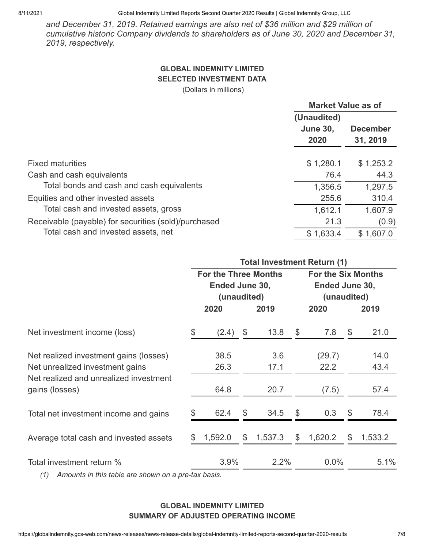*and December 31, 2019. Retained earnings are also net of \$36 million and \$29 million of cumulative historic Company dividends to shareholders as of June 30, 2020 and December 31, 2019, respectively.*

### **GLOBAL INDEMNITY LIMITED SELECTED INVESTMENT DATA**

(Dollars in millions)

|                                                      | <b>Market Value as of</b> |                 |
|------------------------------------------------------|---------------------------|-----------------|
|                                                      | (Unaudited)               |                 |
|                                                      | <b>June 30,</b>           | <b>December</b> |
|                                                      | 2020                      | 31, 2019        |
| <b>Fixed maturities</b>                              | \$1,280.1                 | \$1,253.2       |
| Cash and cash equivalents                            | 76.4                      | 44.3            |
| Total bonds and cash and cash equivalents            | 1,356.5                   | 1,297.5         |
| Equities and other invested assets                   | 255.6                     | 310.4           |
| Total cash and invested assets, gross                | 1,612.1                   | 1,607.9         |
| Receivable (payable) for securities (sold)/purchased | 21.3                      | (0.9)           |
| Total cash and invested assets, net                  | \$1,633.4                 | \$1,607.0       |

|                                                                           |    |                                                              |               |               | <b>Total Investment Return (1)</b> |                                                            |         |  |  |
|---------------------------------------------------------------------------|----|--------------------------------------------------------------|---------------|---------------|------------------------------------|------------------------------------------------------------|---------|--|--|
|                                                                           |    | <b>For the Three Months</b><br>Ended June 30,<br>(unaudited) |               |               |                                    | <b>For the Six Months</b><br>Ended June 30,<br>(unaudited) |         |  |  |
|                                                                           |    | 2020                                                         | 2019          |               | 2020                               |                                                            | 2019    |  |  |
| Net investment income (loss)                                              | \$ | (2.4)                                                        | \$<br>13.8    | \$            | 7.8                                | \$                                                         | 21.0    |  |  |
| Net realized investment gains (losses)                                    |    | 38.5                                                         | 3.6           |               | (29.7)                             |                                                            | 14.0    |  |  |
| Net unrealized investment gains<br>Net realized and unrealized investment |    | 26.3                                                         | 17.1          |               | 22.2                               |                                                            | 43.4    |  |  |
| gains (losses)                                                            |    | 64.8                                                         | 20.7          |               | (7.5)                              |                                                            | 57.4    |  |  |
| Total net investment income and gains                                     | \$ | 62.4                                                         | \$<br>34.5    | \$            | 0.3                                | \$                                                         | 78.4    |  |  |
| Average total cash and invested assets                                    | S  | 1,592.0                                                      | \$<br>1,537.3 | $\mathcal{L}$ | 1,620.2                            | \$                                                         | 1,533.2 |  |  |
| Total investment return %                                                 |    | 3.9%                                                         | 2.2%          |               | 0.0%                               |                                                            | 5.1%    |  |  |
| $(4)$ Americals in this top le sur showing s                              |    | $f \rightarrow f$                                            |               |               |                                    |                                                            |         |  |  |

*(1) Amounts in this table are shown on a pre-tax basis.*

### **GLOBAL INDEMNITY LIMITED SUMMARY OF ADJUSTED OPERATING INCOME**